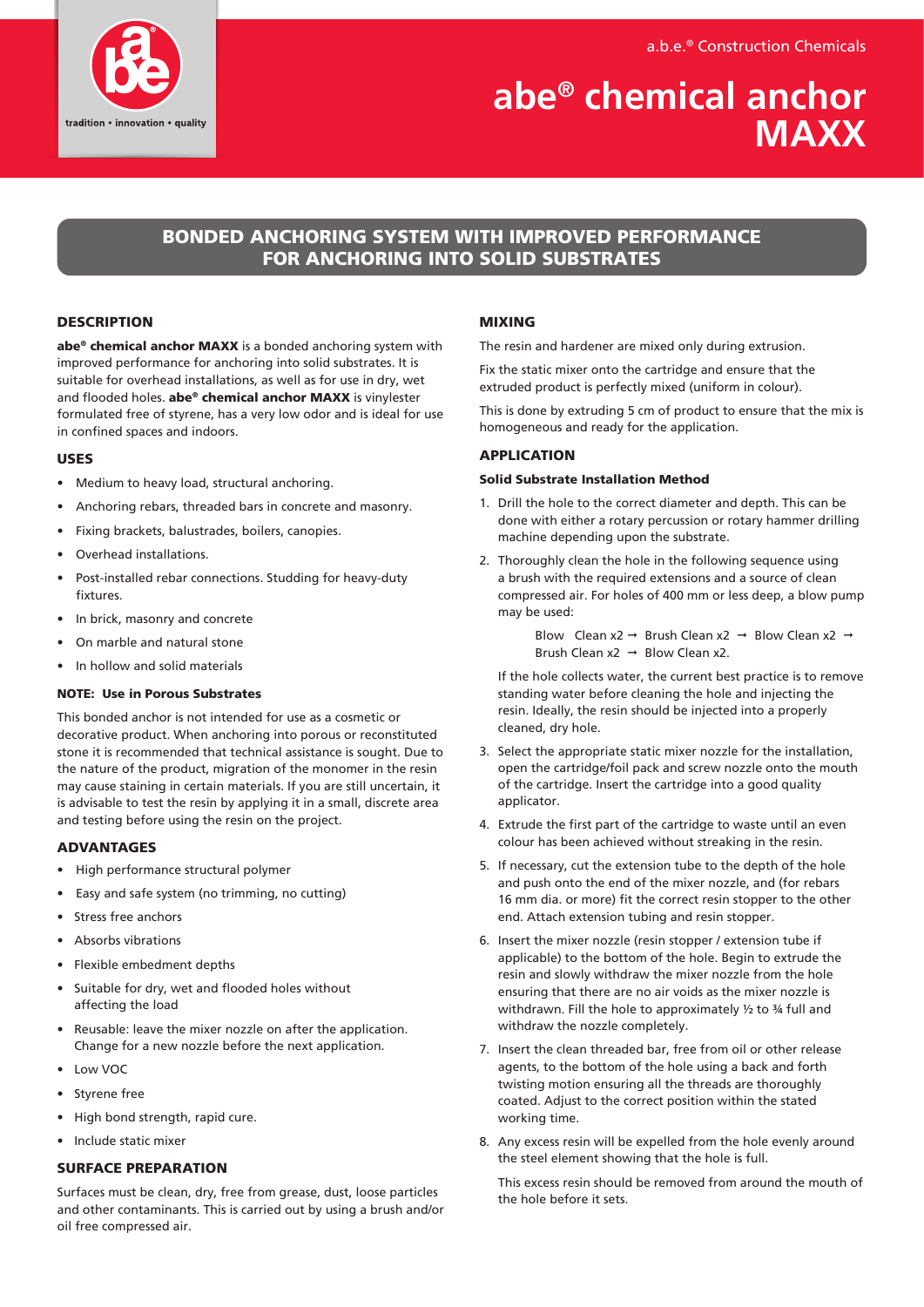a.b.e.® Construction Chemicals



# **abe® chemical anchor MAXX**

# BONDED ANCHORING SYSTEM WITH IMPROVED PERFORMANCE FOR ANCHORING INTO SOLID SUBSTRATES

#### **DESCRIPTION**

abe<sup>®</sup> chemical anchor MAXX is a bonded anchoring system with improved performance for anchoring into solid substrates. It is suitable for overhead installations, as well as for use in dry, wet and flooded holes. abe® chemical anchor MAXX is vinylester formulated free of styrene, has a very low odor and is ideal for use in confined spaces and indoors.

#### USES

- Medium to heavy load, structural anchoring.
- Anchoring rebars, threaded bars in concrete and masonry.
- Fixing brackets, balustrades, boilers, canopies.
- Overhead installations.
- Post-installed rebar connections. Studding for heavy-duty fixtures.
- In brick, masonry and concrete
- On marble and natural stone
- In hollow and solid materials

# NOTE: Use in Porous Substrates

This bonded anchor is not intended for use as a cosmetic or decorative product. When anchoring into porous or reconstituted stone it is recommended that technical assistance is sought. Due to the nature of the product, migration of the monomer in the resin may cause staining in certain materials. If you are still uncertain, it is advisable to test the resin by applying it in a small, discrete area and testing before using the resin on the project.

#### ADVANTAGES

- High performance structural polymer
- Easy and safe system (no trimming, no cutting)
- Stress free anchors
- Absorbs vibrations
- Flexible embedment depths
- Suitable for dry, wet and flooded holes without affecting the load
- Reusable: leave the mixer nozzle on after the application. Change for a new nozzle before the next application.
- Low VOC
- Styrene free
- High bond strength, rapid cure.
- Include static mixer

#### SURFACE PREPARATION

Surfaces must be clean, dry, free from grease, dust, loose particles and other contaminants. This is carried out by using a brush and/or oil free compressed air.

### MIXING

The resin and hardener are mixed only during extrusion.

Fix the static mixer onto the cartridge and ensure that the extruded product is perfectly mixed (uniform in colour).

This is done by extruding 5 cm of product to ensure that the mix is homogeneous and ready for the application.

#### APPLICATION

#### Solid Substrate Installation Method

- 1. Drill the hole to the correct diameter and depth. This can be done with either a rotary percussion or rotary hammer drilling machine depending upon the substrate.
- 2. Thoroughly clean the hole in the following sequence using a brush with the required extensions and a source of clean compressed air. For holes of 400 mm or less deep, a blow pump may be used:

Blow Clean x2  $\rightarrow$  Brush Clean x2  $\rightarrow$  Blow Clean x2  $\rightarrow$ Brush Clean  $x2 \rightarrow$  Blow Clean x2.

 If the hole collects water, the current best practice is to remove standing water before cleaning the hole and injecting the resin. Ideally, the resin should be injected into a properly cleaned, dry hole.

- 3. Select the appropriate static mixer nozzle for the installation, open the cartridge/foil pack and screw nozzle onto the mouth of the cartridge. Insert the cartridge into a good quality applicator.
- 4. Extrude the first part of the cartridge to waste until an even colour has been achieved without streaking in the resin.
- 5. If necessary, cut the extension tube to the depth of the hole and push onto the end of the mixer nozzle, and (for rebars 16 mm dia. or more) fit the correct resin stopper to the other end. Attach extension tubing and resin stopper.
- 6. Insert the mixer nozzle (resin stopper / extension tube if applicable) to the bottom of the hole. Begin to extrude the resin and slowly withdraw the mixer nozzle from the hole ensuring that there are no air voids as the mixer nozzle is withdrawn. Fill the hole to approximately ½ to ¾ full and withdraw the nozzle completely.
- 7. Insert the clean threaded bar, free from oil or other release agents, to the bottom of the hole using a back and forth twisting motion ensuring all the threads are thoroughly coated. Adjust to the correct position within the stated working time.
- 8. Any excess resin will be expelled from the hole evenly around the steel element showing that the hole is full.

 This excess resin should be removed from around the mouth of the hole before it sets.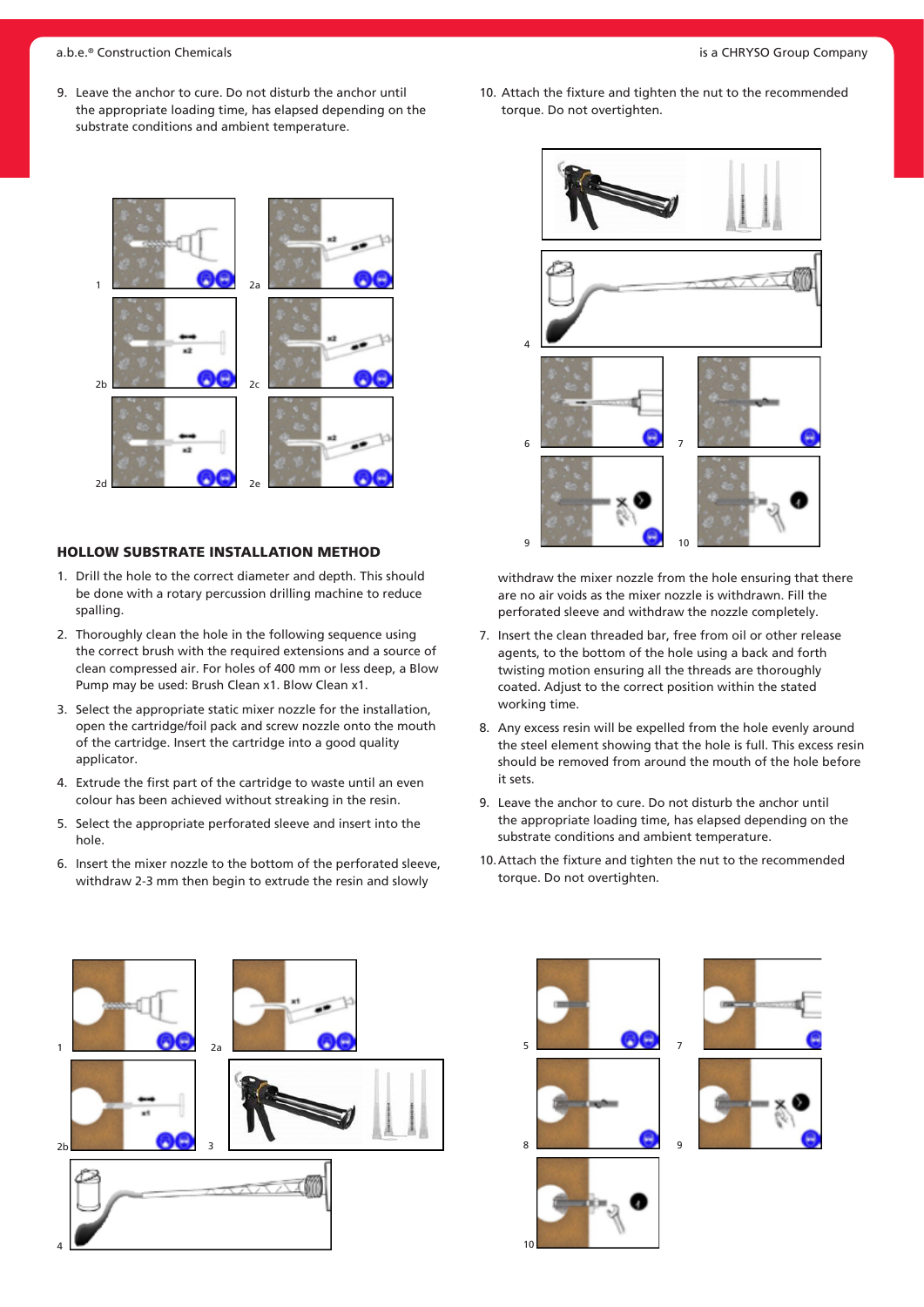9. Leave the anchor to cure. Do not disturb the anchor until the appropriate loading time, has elapsed depending on the substrate conditions and ambient temperature.



#### HOLLOW SUBSTRATE INSTALLATION METHOD

- 1. Drill the hole to the correct diameter and depth. This should be done with a rotary percussion drilling machine to reduce spalling.
- 2. Thoroughly clean the hole in the following sequence using the correct brush with the required extensions and a source of clean compressed air. For holes of 400 mm or less deep, a Blow Pump may be used: Brush Clean x1. Blow Clean x1.
- 3. Select the appropriate static mixer nozzle for the installation, open the cartridge/foil pack and screw nozzle onto the mouth of the cartridge. Insert the cartridge into a good quality applicator.
- 4. Extrude the first part of the cartridge to waste until an even colour has been achieved without streaking in the resin.
- 5. Select the appropriate perforated sleeve and insert into the hole.
- 6. Insert the mixer nozzle to the bottom of the perforated sleeve, withdraw 2-3 mm then begin to extrude the resin and slowly



10. Attach the fixture and tighten the nut to the recommended



withdraw the mixer nozzle from the hole ensuring that there are no air voids as the mixer nozzle is withdrawn. Fill the perforated sleeve and withdraw the nozzle completely.

- 7. Insert the clean threaded bar, free from oil or other release agents, to the bottom of the hole using a back and forth twisting motion ensuring all the threads are thoroughly coated. Adjust to the correct position within the stated working time.
- 8. Any excess resin will be expelled from the hole evenly around the steel element showing that the hole is full. This excess resin should be removed from around the mouth of the hole before it sets.
- 9. Leave the anchor to cure. Do not disturb the anchor until the appropriate loading time, has elapsed depending on the substrate conditions and ambient temperature.
- 10.Attach the fixture and tighten the nut to the recommended torque. Do not overtighten.







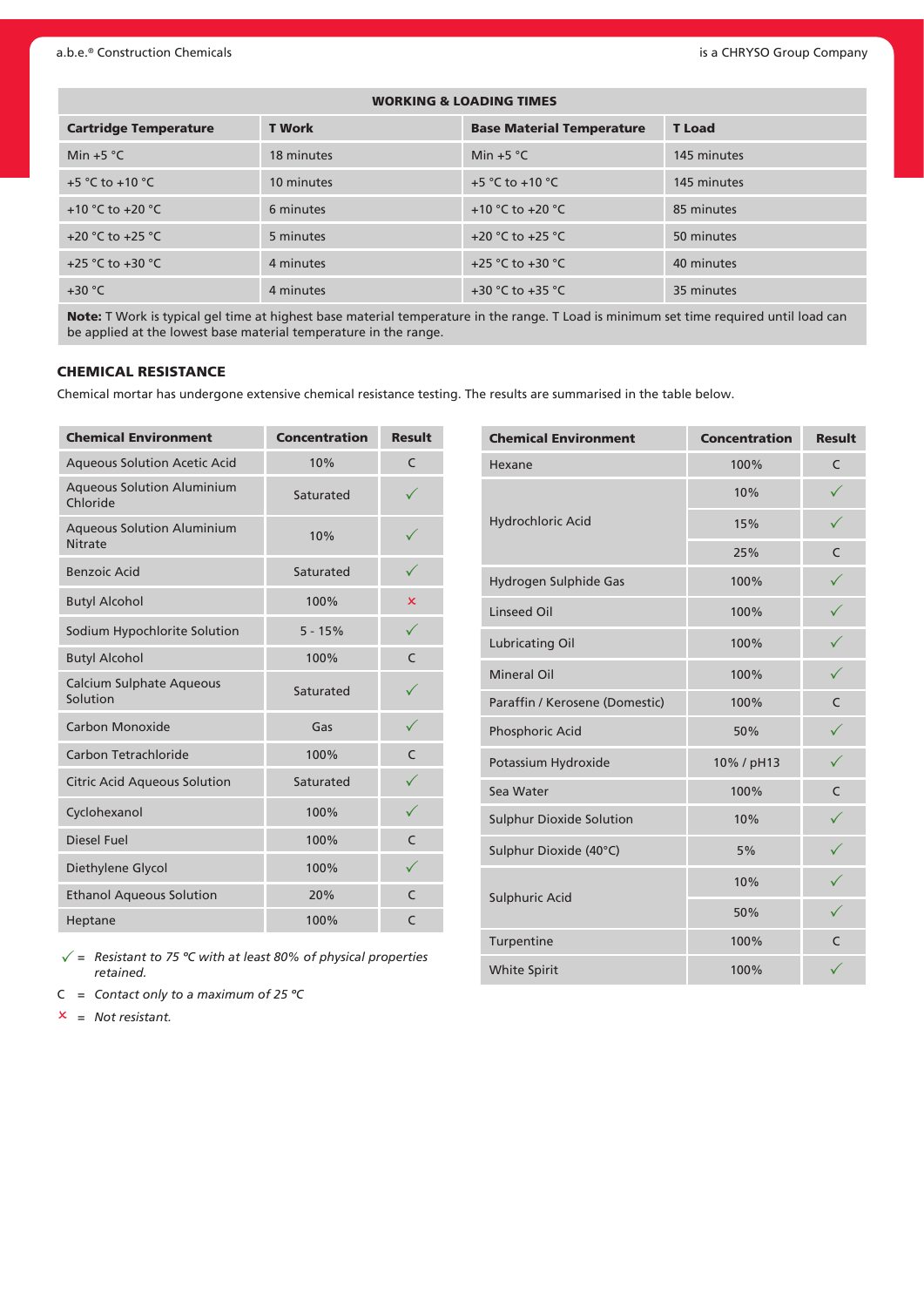| <b>WORKING &amp; LOADING TIMES</b>   |               |                                      |               |  |  |  |  |  |  |  |  |
|--------------------------------------|---------------|--------------------------------------|---------------|--|--|--|--|--|--|--|--|
| <b>Cartridge Temperature</b>         | <b>T</b> Work | <b>Base Material Temperature</b>     | <b>T</b> Load |  |  |  |  |  |  |  |  |
| Min $+5$ °C                          | 18 minutes    | Min $+5$ °C                          | 145 minutes   |  |  |  |  |  |  |  |  |
| +5 $^{\circ}$ C to +10 $^{\circ}$ C  | 10 minutes    | +5 °C to +10 °C                      | 145 minutes   |  |  |  |  |  |  |  |  |
| +10 $^{\circ}$ C to +20 $^{\circ}$ C | 6 minutes     | +10 °C to +20 °C                     | 85 minutes    |  |  |  |  |  |  |  |  |
| +20 $°C$ to +25 $°C$                 | 5 minutes     | +20 $^{\circ}$ C to +25 $^{\circ}$ C | 50 minutes    |  |  |  |  |  |  |  |  |
| +25 °C to +30 °C                     | 4 minutes     | +25 °C to +30 °C                     | 40 minutes    |  |  |  |  |  |  |  |  |
| $+30 °C$                             | 4 minutes     | +30 °C to +35 °C                     | 35 minutes    |  |  |  |  |  |  |  |  |

Note: T Work is typical gel time at highest base material temperature in the range. T Load is minimum set time required until load can be applied at the lowest base material temperature in the range.

### CHEMICAL RESISTANCE

Chemical mortar has undergone extensive chemical resistance testing. The results are summarised in the table below.

| <b>Chemical Environment</b>                         | <b>Concentration</b> | <b>Result</b> |
|-----------------------------------------------------|----------------------|---------------|
| <b>Aqueous Solution Acetic Acid</b>                 | 10%                  | C             |
| <b>Aqueous Solution Aluminium</b><br>Chloride       | Saturated            |               |
| <b>Aqueous Solution Aluminium</b><br><b>Nitrate</b> | 10%                  |               |
| <b>Benzoic Acid</b>                                 | Saturated            |               |
| <b>Butyl Alcohol</b>                                | 100%                 | x             |
| Sodium Hypochlorite Solution                        | $5 - 15%$            | ✓             |
| <b>Butyl Alcohol</b>                                | 100%                 | C             |
| <b>Calcium Sulphate Aqueous</b><br>Solution         | Saturated            |               |
| Carbon Monoxide                                     | Gas                  | $\checkmark$  |
| Carbon Tetrachloride                                | 100%                 | $\mathsf{C}$  |
| <b>Citric Acid Aqueous Solution</b>                 | Saturated            |               |
| Cyclohexanol                                        | 100%                 |               |
| <b>Diesel Fuel</b>                                  | 100%                 | $\subset$     |
| Diethylene Glycol                                   | 100%                 |               |
| <b>Ethanol Aqueous Solution</b>                     | 20%                  | $\subset$     |
| Heptane                                             | 100%                 | C             |

 $\sqrt{}$  = Resistant to 75 °C with at least 80% of physical properties *retained.*

- C *= Contact only to a maximum of 25 ºC*
- O *= Not resistant.*

| <b>Chemical Environment</b>     | <b>Concentration</b> | <b>Result</b> |
|---------------------------------|----------------------|---------------|
| Hexane                          | 100%                 | C             |
|                                 | 10%                  |               |
| Hydrochloric Acid               | 15%                  | ✓             |
|                                 | 25%                  | C             |
| Hydrogen Sulphide Gas           | 100%                 | $\checkmark$  |
| <b>Linseed Oil</b>              | 100%                 | $\checkmark$  |
| <b>Lubricating Oil</b>          | 100%                 |               |
| <b>Mineral Oil</b>              | 100%                 | $\checkmark$  |
| Paraffin / Kerosene (Domestic)  | 100%                 | $\mathsf{C}$  |
| Phosphoric Acid                 | 50%                  | $\checkmark$  |
| Potassium Hydroxide             | 10% / pH13           | $\checkmark$  |
| Sea Water                       | 100%                 | C             |
| <b>Sulphur Dioxide Solution</b> | 10%                  | $\checkmark$  |
| Sulphur Dioxide (40°C)          | 5%                   |               |
|                                 | 10%                  |               |
| Sulphuric Acid                  | 50%                  |               |
| Turpentine                      | 100%                 | C             |
| White Spirit                    | 100%                 |               |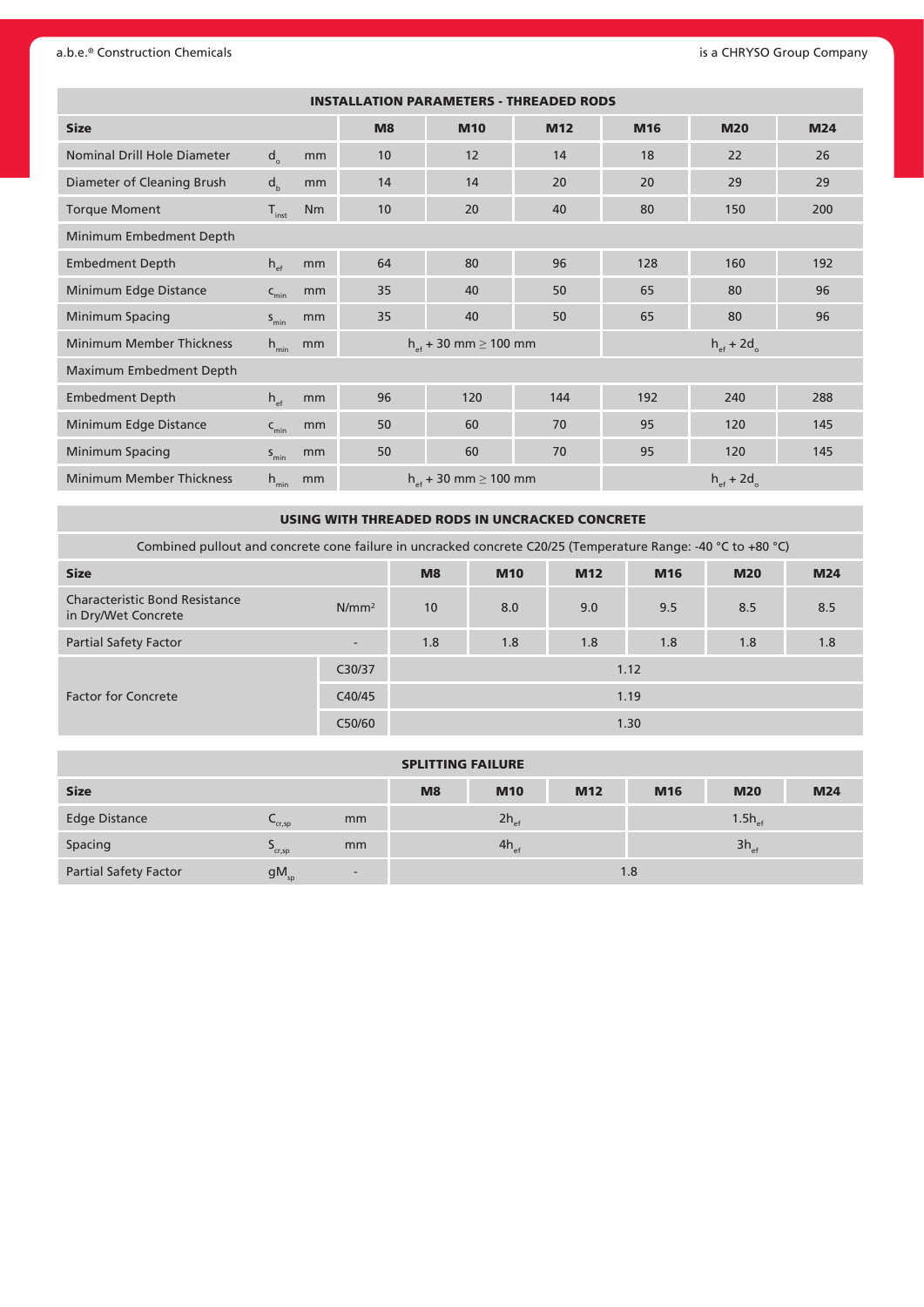#### a.b.e.® Construction Chemicals **and CHRYSO Group Company** is a CHRYSO Group Company

| <b>INSTALLATION PARAMETERS - THREADED RODS</b> |                     |           |                |                                |                 |     |                                 |            |  |  |  |  |  |
|------------------------------------------------|---------------------|-----------|----------------|--------------------------------|-----------------|-----|---------------------------------|------------|--|--|--|--|--|
| <b>Size</b>                                    |                     |           | M <sub>8</sub> | <b>M10</b>                     | M <sub>12</sub> | M16 | <b>M20</b>                      | <b>M24</b> |  |  |  |  |  |
| Nominal Drill Hole Diameter                    | $d_{\alpha}$        | mm        | 10             | 12                             | 14              | 18  | 22                              | 26         |  |  |  |  |  |
| Diameter of Cleaning Brush                     | d <sub>h</sub>      | mm        | 14             | 14                             | 20              | 20  | 29                              | 29         |  |  |  |  |  |
| <b>Torque Moment</b>                           | $T_{inst}$          | <b>Nm</b> | 10             | 20                             | 40              | 80  | 150                             | 200        |  |  |  |  |  |
| Minimum Embedment Depth                        |                     |           |                |                                |                 |     |                                 |            |  |  |  |  |  |
| <b>Embedment Depth</b>                         | $h_{\text{ef}}$     | mm        | 64             | 80                             | 96              | 128 | 160                             | 192        |  |  |  |  |  |
| Minimum Edge Distance                          | $\mathsf{C}_{\min}$ | mm        | 35             | 40                             | 50              | 65  | 80                              | 96         |  |  |  |  |  |
| Minimum Spacing                                | $S_{\text{min}}$    | mm        | 35             | 40                             | 50              | 65  | 80                              | 96         |  |  |  |  |  |
| <b>Minimum Member Thickness</b>                | $h_{\min}$          | mm        |                | $h_{st}$ + 30 mm $\geq$ 100 mm |                 |     | $h_{\text{ef}} + 2d_{\text{o}}$ |            |  |  |  |  |  |
| Maximum Embedment Depth                        |                     |           |                |                                |                 |     |                                 |            |  |  |  |  |  |
| <b>Embedment Depth</b>                         | $h_{\text{ef}}$     | mm        | 96             | 120                            | 144             | 192 | 240                             | 288        |  |  |  |  |  |
| Minimum Edge Distance                          | $C_{\min}$          | mm        | 50             | 60                             | 70              | 95  | 120                             | 145        |  |  |  |  |  |
| Minimum Spacing                                | $S_{\text{min}}$    | mm        | 50             | 60                             | 70              | 95  | 120                             | 145        |  |  |  |  |  |
| <b>Minimum Member Thickness</b>                | $h_{\min}$          | mm        |                | $h_{st}$ + 30 mm $\geq$ 100 mm |                 |     | $h_{\text{ef}} + 2d_{\text{o}}$ |            |  |  |  |  |  |

USING WITH THREADED RODS IN UNCRACKED CONCRETE

Combined pullout and concrete cone failure in uncracked concrete C20/25 (Temperature Range: -40 °C to +80 °C)

| <b>Size</b>                                                  |                          | M <sub>8</sub> | <b>M10</b> | <b>M12</b> | M <sub>16</sub> | <b>M20</b> | <b>M24</b> |  |  |
|--------------------------------------------------------------|--------------------------|----------------|------------|------------|-----------------|------------|------------|--|--|
| <b>Characteristic Bond Resistance</b><br>in Dry/Wet Concrete | $N/mm^2$                 | 10             | 8.0        | 9.0        | 9.5             | 8.5        | 8.5        |  |  |
| <b>Partial Safety Factor</b>                                 | $\overline{\phantom{a}}$ | 1.8            | 1.8        | 1.8        | 1.8             | 1.8        | 1.8        |  |  |
|                                                              | C30/37                   | 1.12           |            |            |                 |            |            |  |  |
| <b>Factor for Concrete</b>                                   | C40/45                   | 1.19           |            |            |                 |            |            |  |  |
|                                                              | C50/60                   |                |            |            | 1.30            |            |            |  |  |

| <b>SPLITTING FAILURE</b>     |                       |                          |    |                  |            |                 |                    |            |  |  |  |
|------------------------------|-----------------------|--------------------------|----|------------------|------------|-----------------|--------------------|------------|--|--|--|
| <b>Size</b>                  |                       |                          | M8 | <b>M10</b>       | <b>M12</b> | M <sub>16</sub> | <b>M20</b>         | <b>M24</b> |  |  |  |
| <b>Edge Distance</b>         | $\mathsf{cr,sp}$      | mm                       |    | $2h_{\text{ef}}$ |            |                 | $1.5h_{\text{ef}}$ |            |  |  |  |
| Spacing                      | $\mathcal{L}_{cr,sp}$ | mm                       |    | $4h_{\text{ef}}$ |            |                 | $3h_{\text{ef}}$   |            |  |  |  |
| <b>Partial Safety Factor</b> | $gM_{sp}$             | $\overline{\phantom{a}}$ |    |                  |            | 1.8             |                    |            |  |  |  |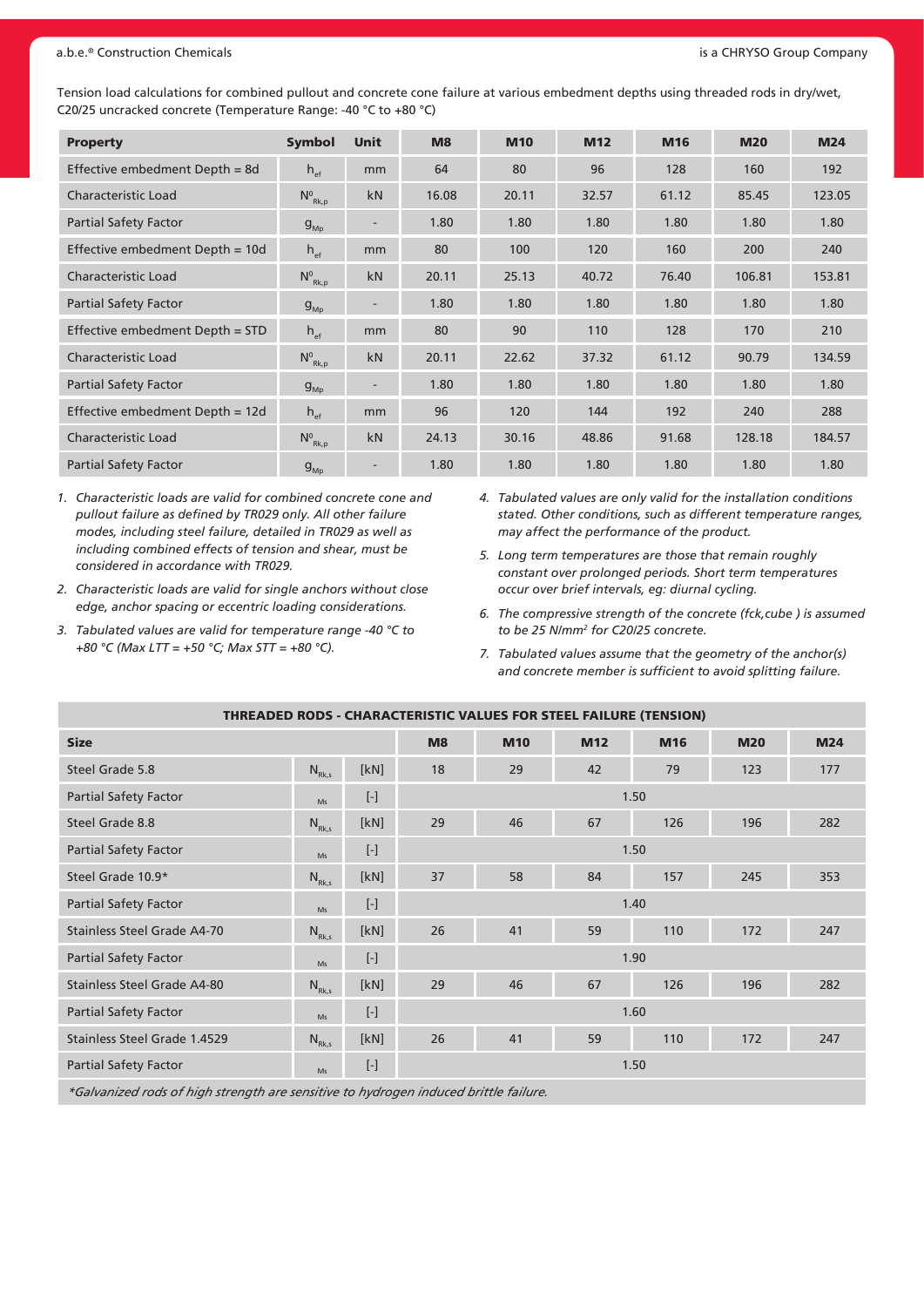#### a.b.e.® Construction Chemicals **and Construction Chemicals** and CHRYSO Group Company **and CHRYSO Group Company** is a CHRYSO Group Company

Tension load calculations for combined pullout and concrete cone failure at various embedment depths using threaded rods in dry/wet, C20/25 uncracked concrete (Temperature Range: -40 °C to +80 °C)

| <b>Property</b>                 | <b>Symbol</b>      | <b>Unit</b>              | M8    | <b>M10</b> | <b>M12</b> | M16   | <b>M20</b> | <b>M24</b> |
|---------------------------------|--------------------|--------------------------|-------|------------|------------|-------|------------|------------|
| Effective embedment Depth = 8d  | $h_{\text{ef}}$    | mm                       | 64    | 80         | 96         | 128   | 160        | 192        |
| Characteristic Load             | $N^0_{Rk,p}$       | kN                       | 16.08 | 20.11      | 32.57      | 61.12 | 85.45      | 123.05     |
| <b>Partial Safety Factor</b>    | $g_{_{\text{Mb}}}$ |                          | 1.80  | 1.80       | 1.80       | 1.80  | 1.80       | 1.80       |
| Effective embedment Depth = 10d | $h_{\text{ef}}$    | mm                       | 80    | 100        | 120        | 160   | 200        | 240        |
| <b>Characteristic Load</b>      | $N^0_{Rk,p}$       | kN                       | 20.11 | 25.13      | 40.72      | 76.40 | 106.81     | 153.81     |
| <b>Partial Safety Factor</b>    | $g_{_{\sf MD}}$    | $\overline{\phantom{a}}$ | 1.80  | 1.80       | 1.80       | 1.80  | 1.80       | 1.80       |
| Effective embedment Depth = STD | $h_{\text{ef}}$    | mm                       | 80    | 90         | 110        | 128   | 170        | 210        |
| <b>Characteristic Load</b>      | $N^0_{Rk,p}$       | kN                       | 20.11 | 22.62      | 37.32      | 61.12 | 90.79      | 134.59     |
| <b>Partial Safety Factor</b>    | $g_{_{\rm MD}}$    |                          | 1.80  | 1.80       | 1.80       | 1.80  | 1.80       | 1.80       |
| Effective embedment Depth = 12d | $h_{\text{ef}}$    | mm                       | 96    | 120        | 144        | 192   | 240        | 288        |
| <b>Characteristic Load</b>      | $N^0_{Rk,p}$       | kN                       | 24.13 | 30.16      | 48.86      | 91.68 | 128.18     | 184.57     |
| <b>Partial Safety Factor</b>    | $g_{_{Mp}}$        | $\overline{\phantom{a}}$ | 1.80  | 1.80       | 1.80       | 1.80  | 1.80       | 1.80       |

- *1. Characteristic loads are valid for combined concrete cone and pullout failure as defined by TR029 only. All other failure modes, including steel failure, detailed in TR029 as well as including combined effects of tension and shear, must be considered in accordance with TR029.*
- *2. Characteristic loads are valid for single anchors without close edge, anchor spacing or eccentric loading considerations.*
- *3. Tabulated values are valid for temperature range -40 °C to +80 °C (Max LTT = +50 °C; Max STT = +80 °C).*
- *4. Tabulated values are only valid for the installation conditions stated. Other conditions, such as different temperature ranges, may affect the performance of the product.*
- *5. Long term temperatures are those that remain roughly constant over prolonged periods. Short term temperatures occur over brief intervals, eg: diurnal cycling.*
- *6. The compressive strength of the concrete (fck,cube ) is assumed to be 25 N/mm2 for C20/25 concrete.*
- *7. Tabulated values assume that the geometry of the anchor(s) and concrete member is sufficient to avoid splitting failure.*

| <b>THREADED RODS - CHARACTERISTIC VALUES FOR STEEL FAILURE (TENSION)</b> |            |                 |      |            |     |      |            |            |  |  |  |
|--------------------------------------------------------------------------|------------|-----------------|------|------------|-----|------|------------|------------|--|--|--|
| <b>Size</b>                                                              |            |                 | M8   | <b>M10</b> | M12 | M16  | <b>M20</b> | <b>M24</b> |  |  |  |
| Steel Grade 5.8                                                          | $N_{Rk,s}$ | [kN]            | 18   | 29         | 42  | 79   | 123        | 177        |  |  |  |
| <b>Partial Safety Factor</b>                                             | Ms         | $[\![\cdot]\!]$ | 1.50 |            |     |      |            |            |  |  |  |
| Steel Grade 8.8                                                          | $N_{Rk,s}$ | [kN]            | 29   | 46         | 67  | 126  | 196        | 282        |  |  |  |
| <b>Partial Safety Factor</b>                                             | Ms         | $[\cdot]$       | 1.50 |            |     |      |            |            |  |  |  |
| Steel Grade 10.9*                                                        | $N_{Rk,s}$ | [kN]            | 37   | 58         | 84  | 157  | 245        | 353        |  |  |  |
| <b>Partial Safety Factor</b>                                             | Ms         | $[\cdot]$       |      | 1.40       |     |      |            |            |  |  |  |
| Stainless Steel Grade A4-70                                              | $N_{Rk,s}$ | [kN]            | 26   | 41         | 59  | 110  | 172        | 247        |  |  |  |
| <b>Partial Safety Factor</b>                                             | Ms         | $[\cdot]$       |      |            |     | 1.90 |            |            |  |  |  |
| Stainless Steel Grade A4-80                                              | $N_{Rk,s}$ | [kN]            | 29   | 46         | 67  | 126  | 196        | 282        |  |  |  |
| <b>Partial Safety Factor</b>                                             | Ms         | $[\![\cdot]\!]$ |      |            |     | 1.60 |            |            |  |  |  |
| Stainless Steel Grade 1.4529                                             | $N_{Rk,s}$ | [kN]            | 26   | 41         | 59  | 110  | 172        | 247        |  |  |  |
| <b>Partial Safety Factor</b>                                             | Ms         | $[\cdot]$       |      |            |     | 1.50 |            |            |  |  |  |
|                                                                          |            |                 |      |            |     |      |            |            |  |  |  |

*\*Galvanized rods of high strength are sensitive to hydrogen induced brittle failure.*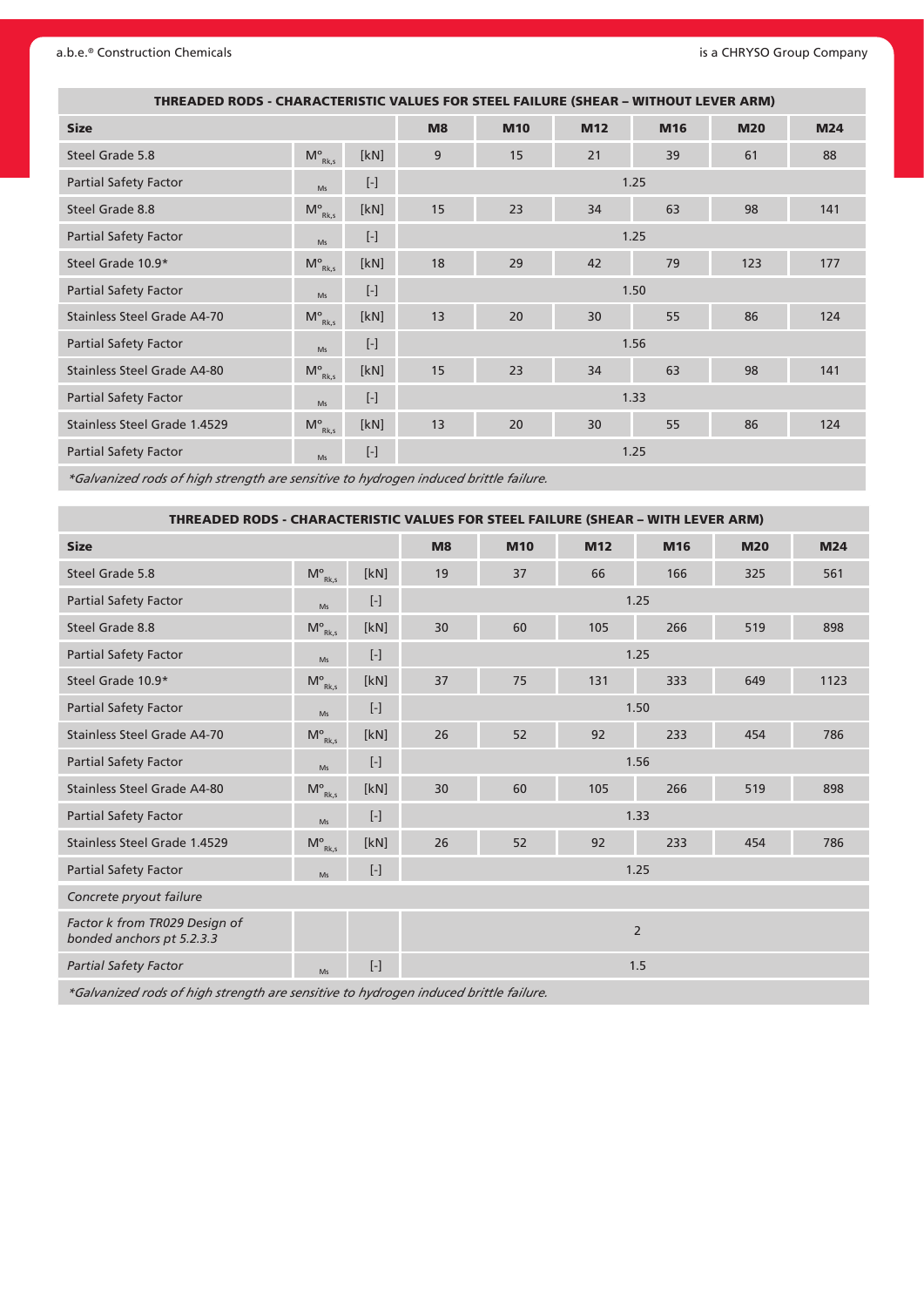#### a.b.e.® Construction Chemicals **and CHRYSO Group Company** is a CHRYSO Group Company

| THREADED RODS - CHARACTERISTIC VALUES FOR STEEL FAILURE (SHEAR - WITHOUT LEVER ARM) |                    |           |      |            |                 |      |            |            |
|-------------------------------------------------------------------------------------|--------------------|-----------|------|------------|-----------------|------|------------|------------|
| <b>Size</b>                                                                         |                    |           | M8   | <b>M10</b> | M <sub>12</sub> | M16  | <b>M20</b> | <b>M24</b> |
| Steel Grade 5.8                                                                     | $M_{Rk,s}^{\circ}$ | [kN]      | 9    | 15         | 21              | 39   | 61         | 88         |
| <b>Partial Safety Factor</b>                                                        | Ms                 | $[\cdot]$ | 1.25 |            |                 |      |            |            |
| Steel Grade 8.8                                                                     | $M^{\circ}_{Rk,s}$ | [kN]      | 15   | 23         | 34              | 63   | 98         | 141        |
| <b>Partial Safety Factor</b>                                                        | Ms                 | $[\cdot]$ | 1.25 |            |                 |      |            |            |
| Steel Grade 10.9*                                                                   | $M_{Rk,s}^{\circ}$ | [kN]      | 18   | 29         | 42              | 79   | 123        | 177        |
| <b>Partial Safety Factor</b>                                                        | Ms                 | $[\cdot]$ |      |            |                 | 1.50 |            |            |
| Stainless Steel Grade A4-70                                                         | $M_{Rk,s}^{\circ}$ | [kN]      | 13   | 20         | 30              | 55   | 86         | 124        |
| <b>Partial Safety Factor</b>                                                        | Ms                 |           |      |            |                 | 1.56 |            |            |
| Stainless Steel Grade A4-80                                                         | $M_{Rk,s}^{\circ}$ | [kN]      | 15   | 23         | 34              | 63   | 98         | 141        |
| <b>Partial Safety Factor</b>                                                        | Ms                 | $[\cdot]$ | 1.33 |            |                 |      |            |            |
| Stainless Steel Grade 1.4529                                                        | $M_{Rk,s}^{\circ}$ | [kN]      | 13   | 20         | 30              | 55   | 86         | 124        |
| <b>Partial Safety Factor</b>                                                        | Ms                 | $[\cdot]$ |      |            |                 | 1.25 |            |            |

*\*Galvanized rods of high strength are sensitive to hydrogen induced brittle failure.*

|                                                            | THREADED RODS - CHARACTERISTIC VALUES FOR STEEL FAILURE (SHEAR - WITH LEVER ARM) |                 |      |            |                 |                 |            |            |  |  |  |
|------------------------------------------------------------|----------------------------------------------------------------------------------|-----------------|------|------------|-----------------|-----------------|------------|------------|--|--|--|
| <b>Size</b>                                                |                                                                                  |                 | M8   | <b>M10</b> | M <sub>12</sub> | M <sub>16</sub> | <b>M20</b> | <b>M24</b> |  |  |  |
| Steel Grade 5.8                                            | $\mathsf{M}^\mathsf{o}_{\scriptscriptstyle\mathsf{Rk},\mathsf{s}}$               | [kN]            | 19   | 37         | 66              | 166             | 325        | 561        |  |  |  |
| <b>Partial Safety Factor</b>                               | Ms                                                                               | $[\cdot]$       | 1.25 |            |                 |                 |            |            |  |  |  |
| Steel Grade 8.8                                            | $\mathsf{M}^\mathsf{o}_{\mathsf{Rk},\mathsf{s}}$                                 | [kN]            | 30   | 60         | 105             | 266             | 519        | 898        |  |  |  |
| <b>Partial Safety Factor</b>                               | Ms                                                                               | $[\![\cdot]\!]$ | 1.25 |            |                 |                 |            |            |  |  |  |
| Steel Grade 10.9*                                          | $\mathsf{M}^\mathsf{o}_{\mathsf{Rk},\mathsf{s}}$                                 | [kN]            | 37   | 75         | 131             | 333             | 649        | 1123       |  |  |  |
| <b>Partial Safety Factor</b>                               | Ms                                                                               | $[\cdot]$       |      | 1.50       |                 |                 |            |            |  |  |  |
| <b>Stainless Steel Grade A4-70</b>                         | $M_{Rk,s}^{\circ}$                                                               | [kN]            | 26   | 52         | 92              | 233             | 454        | 786        |  |  |  |
| <b>Partial Safety Factor</b>                               | Ms                                                                               | $[\cdot]$       |      | 1.56       |                 |                 |            |            |  |  |  |
| Stainless Steel Grade A4-80                                | $\mathsf{M}^\mathsf{o}_{\mathsf{Rk},\mathsf{s}}$                                 | [kN]            | 30   | 60         | 105             | 266             | 519        | 898        |  |  |  |
| <b>Partial Safety Factor</b>                               | Ms                                                                               | $[\cdot]$       |      |            |                 | 1.33            |            |            |  |  |  |
| Stainless Steel Grade 1.4529                               | $M^{\circ}_{Rk,s}$                                                               | [kN]            | 26   | 52         | 92              | 233             | 454        | 786        |  |  |  |
| <b>Partial Safety Factor</b>                               | Ms                                                                               | $[\cdot]$       |      |            |                 | 1.25            |            |            |  |  |  |
| Concrete pryout failure                                    |                                                                                  |                 |      |            |                 |                 |            |            |  |  |  |
| Factor k from TR029 Design of<br>bonded anchors pt 5.2.3.3 |                                                                                  |                 |      |            |                 | $\overline{2}$  |            |            |  |  |  |
| <b>Partial Safety Factor</b>                               | Ms                                                                               | $[\cdot]$       |      |            |                 | 1.5             |            |            |  |  |  |

*\*Galvanized rods of high strength are sensitive to hydrogen induced brittle failure.*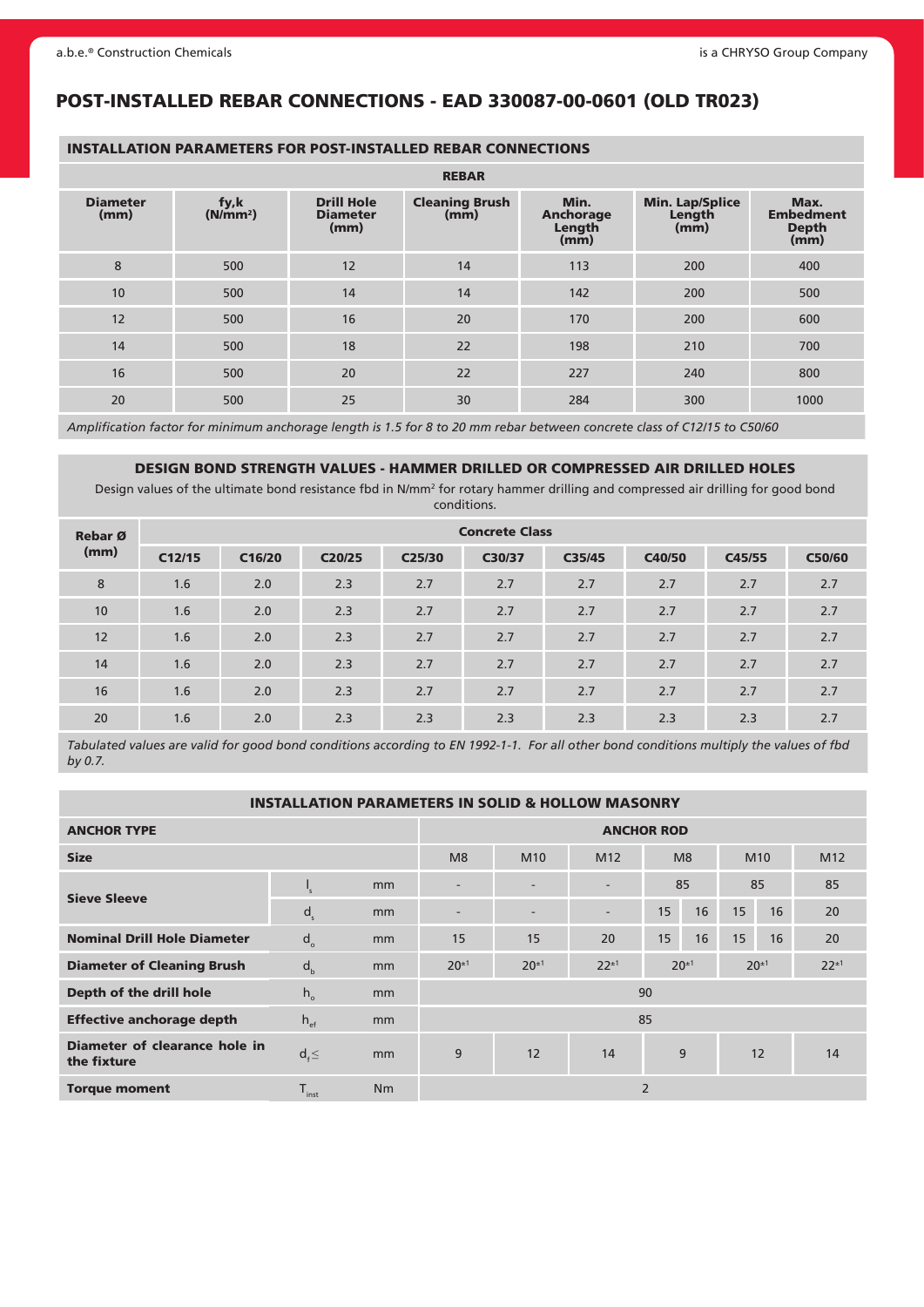## POST-INSTALLED REBAR CONNECTIONS - EAD 330087-00-0601 (OLD TR023)

#### INSTALLATION PARAMETERS FOR POST-INSTALLED REBAR CONNECTIONS

|                         |                              |                                              | <b>REBAR</b>                  |                                            |                                          |                                                  |
|-------------------------|------------------------------|----------------------------------------------|-------------------------------|--------------------------------------------|------------------------------------------|--------------------------------------------------|
| <b>Diameter</b><br>(mm) | fy,k<br>(N/mm <sup>2</sup> ) | <b>Drill Hole</b><br><b>Diameter</b><br>(mm) | <b>Cleaning Brush</b><br>(mm) | Min.<br><b>Anchorage</b><br>Length<br>(mm) | <b>Min. Lap/Splice</b><br>Length<br>(mm) | Max.<br><b>Embedment</b><br><b>Depth</b><br>(mm) |
| 8                       | 500                          | 12                                           | 14                            | 113                                        | 200                                      | 400                                              |
| 10                      | 500                          | 14                                           | 14                            | 142                                        | 200                                      | 500                                              |
| 12                      | 500                          | 16                                           | 20                            | 170                                        | 200                                      | 600                                              |
| 14                      | 500                          | 18                                           | 22                            | 198                                        | 210                                      | 700                                              |
| 16                      | 500                          | 20                                           | 22                            | 227                                        | 240                                      | 800                                              |
| 20                      | 500                          | 25                                           | 30                            | 284                                        | 300                                      | 1000                                             |

*Amplification factor for minimum anchorage length is 1.5 for 8 to 20 mm rebar between concrete class of C12/15 to C50/60*

#### DESIGN BOND STRENGTH VALUES - HAMMER DRILLED OR COMPRESSED AIR DRILLED HOLES

Design values of the ultimate bond resistance fbd in N/mm<sup>2</sup> for rotary hammer drilling and compressed air drilling for good bond conditions.

| Rebar Ø | <b>Concrete Class</b> |        |        |                     |        |        |        |        |        |  |  |
|---------|-----------------------|--------|--------|---------------------|--------|--------|--------|--------|--------|--|--|
| (mm)    | C12/15                | C16/20 | C20/25 | C <sub>25</sub> /30 | C30/37 | C35/45 | C40/50 | C45/55 | C50/60 |  |  |
| 8       | 1.6                   | 2.0    | 2.3    | 2.7                 | 2.7    | 2.7    | 2.7    | 2.7    | 2.7    |  |  |
| 10      | 1.6                   | 2.0    | 2.3    | 2.7                 | 2.7    | 2.7    | 2.7    | 2.7    | 2.7    |  |  |
| 12      | 1.6                   | 2.0    | 2.3    | 2.7                 | 2.7    | 2.7    | 2.7    | 2.7    | 2.7    |  |  |
| 14      | 1.6                   | 2.0    | 2.3    | 2.7                 | 2.7    | 2.7    | 2.7    | 2.7    | 2.7    |  |  |
| 16      | 1.6                   | 2.0    | 2.3    | 2.7                 | 2.7    | 2.7    | 2.7    | 2.7    | 2.7    |  |  |
| 20      | 1.6                   | 2.0    | 2.3    | 2.3                 | 2.3    | 2.3    | 2.3    | 2.3    | 2.7    |  |  |

*Tabulated values are valid for good bond conditions according to EN 1992-1-1. For all other bond conditions multiply the values of fbd by 0.7.*

#### INSTALLATION PARAMETERS IN SOLID & HOLLOW MASONRY

| <b>ANCHOR TYPE</b>                           | <b>ANCHOR ROD</b> |    |                          |                 |                 |                |                |    |                 |                 |
|----------------------------------------------|-------------------|----|--------------------------|-----------------|-----------------|----------------|----------------|----|-----------------|-----------------|
| <b>Size</b>                                  |                   |    | M8                       | M <sub>10</sub> | M <sub>12</sub> |                | M <sub>8</sub> |    | M <sub>10</sub> | M <sub>12</sub> |
|                                              | ∙'                | mm | -                        |                 | 85              |                | 85             |    | 85              |                 |
| <b>Sieve Sleeve</b>                          | d <sub>s</sub>    | mm | $\overline{\phantom{a}}$ | -               | ٠.              | 15             | 16             | 15 | 16              | 20              |
| <b>Nominal Drill Hole Diameter</b>           | $d_{\alpha}$      | mm | 15                       | 15              | 20              | 15             | 16             | 15 | 16              | 20              |
| <b>Diameter of Cleaning Brush</b>            | d <sub>b</sub>    | mm | $20^{\pm 1}$             | $20^{\pm 1}$    | $22^{+1}$       | $20^{\pm 1}$   |                |    | $20^{\pm 1}$    | $22^{+1}$       |
| Depth of the drill hole                      | $h_{\circ}$       | mm |                          |                 |                 | 90             |                |    |                 |                 |
| <b>Effective anchorage depth</b>             | $h_{\text{ef}}$   | mm | 85                       |                 |                 |                |                |    |                 |                 |
| Diameter of clearance hole in<br>the fixture | $d_f \leq$        | mm | 9                        | 12              | 14              | 9              |                |    | 12              | 14              |
| <b>Torque moment</b>                         | $T_{inst}$        | Nm |                          |                 |                 | $\overline{2}$ |                |    |                 |                 |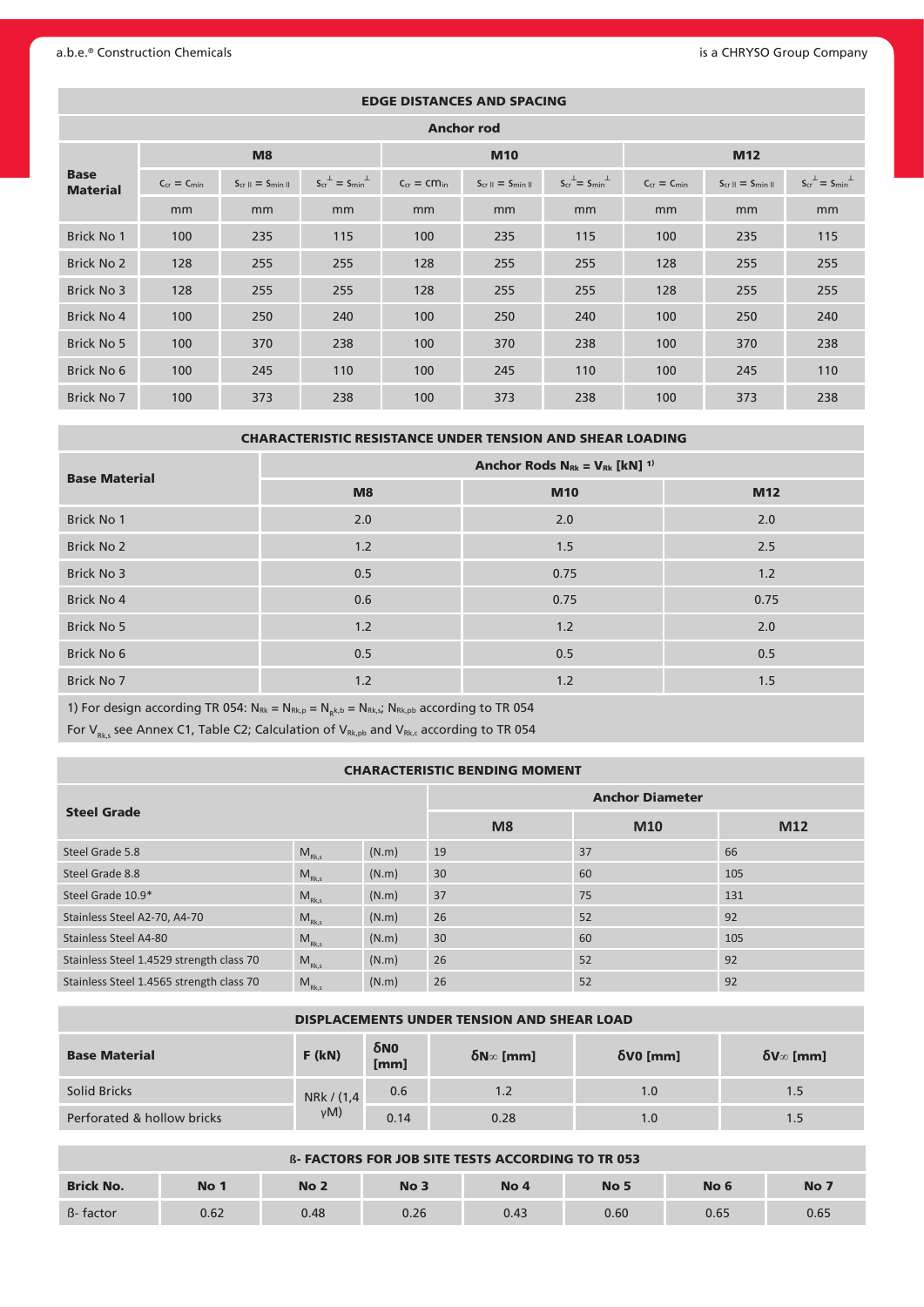#### a.b.e.<sup>®</sup> Construction Chemicals **is a CHRYSO Group Company** is a CHRYSO Group Company

| <b>EDGE DISTANCES AND SPACING</b> |                    |                                              |                                    |                    |                                              |                                    |                    |                                              |                                    |  |  |
|-----------------------------------|--------------------|----------------------------------------------|------------------------------------|--------------------|----------------------------------------------|------------------------------------|--------------------|----------------------------------------------|------------------------------------|--|--|
| <b>Anchor rod</b>                 |                    |                                              |                                    |                    |                                              |                                    |                    |                                              |                                    |  |  |
|                                   |                    | M8                                           |                                    |                    | <b>M10</b>                                   |                                    | <b>M12</b>         |                                              |                                    |  |  |
| <b>Base</b><br><b>Material</b>    | $C_{cr} = C_{min}$ | $S_{cr}$ $\parallel$ = $S_{min}$ $\parallel$ | $S_{cr}^{\perp} = S_{min}^{\perp}$ | $C_{cr} = cm_{in}$ | $S_{cr}$ $\parallel$ = $S_{min}$ $\parallel$ | $S_{cr}^{\perp} = S_{min}^{\perp}$ | $C_{cr} = C_{min}$ | $S_{cr}$ $\parallel$ = $S_{min}$ $\parallel$ | $S_{cr}^{\perp} = S_{min}^{\perp}$ |  |  |
|                                   | mm                 | mm                                           | mm                                 | mm                 | mm                                           | mm                                 | mm                 | mm                                           | mm                                 |  |  |
| <b>Brick No 1</b>                 | 100                | 235                                          | 115                                | 100                | 235                                          | 115                                | 100                | 235                                          | 115                                |  |  |
| Brick No 2                        | 128                | 255                                          | 255                                | 128                | 255                                          | 255                                | 128                | 255                                          | 255                                |  |  |
| Brick No 3                        | 128                | 255                                          | 255                                | 128                | 255                                          | 255                                | 128                | 255                                          | 255                                |  |  |
| Brick No 4                        | 100                | 250                                          | 240                                | 100                | 250                                          | 240                                | 100                | 250                                          | 240                                |  |  |
| Brick No 5                        | 100                | 370                                          | 238                                | 100                | 370                                          | 238                                | 100                | 370                                          | 238                                |  |  |
| Brick No 6                        | 100                | 245                                          | 110                                | 100                | 245                                          | 110                                | 100                | 245                                          | 110                                |  |  |
| Brick No 7                        | 100                | 373                                          | 238                                | 100                | 373                                          | 238                                | 100                | 373                                          | 238                                |  |  |

CHARACTERISTIC RESISTANCE UNDER TENSION AND SHEAR LOADING

| <b>Base Material</b> | Anchor Rods $N_{Rk} = V_{Rk}$ [kN] <sup>1)</sup> |            |      |  |  |  |  |  |
|----------------------|--------------------------------------------------|------------|------|--|--|--|--|--|
|                      | M8                                               | <b>M10</b> | M12  |  |  |  |  |  |
| Brick No 1           | 2.0                                              | 2.0        | 2.0  |  |  |  |  |  |
| <b>Brick No 2</b>    | 1.2                                              | 1.5        | 2.5  |  |  |  |  |  |
| Brick No 3           | 0.5                                              | 0.75       | 1.2  |  |  |  |  |  |
| Brick No 4           | 0.6                                              | 0.75       | 0.75 |  |  |  |  |  |
| Brick No 5           | 1.2                                              | 1.2        | 2.0  |  |  |  |  |  |
| Brick No 6           | 0.5                                              | 0.5        | 0.5  |  |  |  |  |  |
| Brick No 7           | 1.2                                              | 1.2        | 1.5  |  |  |  |  |  |

1) For design according TR 054:  $N_{\text{Rk}} = N_{\text{Rk},p} = N_{\text{Rk},s}$  =  $N_{\text{Rk},p}$  according to TR 054

For  $V_{Rk,s}$  see Annex C1, Table C2; Calculation of  $V_{Rk,pb}$  and  $V_{Rk,c}$  according to TR 054

#### CHARACTERISTIC BENDING MOMENT

|                                          |                                              |                | <b>Anchor Diameter</b> |     |     |  |  |
|------------------------------------------|----------------------------------------------|----------------|------------------------|-----|-----|--|--|
| <b>Steel Grade</b>                       |                                              | M <sub>8</sub> | M10                    | M12 |     |  |  |
| Steel Grade 5.8                          | $M_{Rk,s}$                                   | (N.m)          | 19                     | 37  | 66  |  |  |
| Steel Grade 8.8                          | $M_{Rk,s}$                                   | (N.m)          | 30                     | 60  | 105 |  |  |
| Steel Grade 10.9*                        | $M_{Rk,s}$                                   | (N.m)          | 37                     | 75  | 131 |  |  |
| Stainless Steel A2-70, A4-70             | $M_{Rk,s}$                                   | (N.m)          | 26                     | 52  | 92  |  |  |
| Stainless Steel A4-80                    | $\mathsf{M}_{\textrm{\tiny{RK}},\textrm{s}}$ | (N.m)          | 30                     | 60  | 105 |  |  |
| Stainless Steel 1.4529 strength class 70 | $\mathsf{M}_{\textrm{\tiny{RK}},\textrm{s}}$ | (N.m)          | 26                     | 52  | 92  |  |  |
| Stainless Steel 1.4565 strength class 70 | $M_{Rk,s}$                                   | (N.m)          | 26                     | 52  | 92  |  |  |

| <b>DISPLACEMENTS UNDER TENSION AND SHEAR LOAD</b> |            |             |             |             |                        |  |  |  |
|---------------------------------------------------|------------|-------------|-------------|-------------|------------------------|--|--|--|
| <b>Base Material</b>                              | $F$ (kN)   | δΝΟ<br>[mm] | δN $∞$ [mm] | $δ$ V0 [mm] | $δV$ <sub>∞</sub> [mm] |  |  |  |
| Solid Bricks                                      | NRk / (1,4 | 0.6         | 1.2         | 1.0         | 1.5                    |  |  |  |
| Perforated & hollow bricks                        | v(M)       | 0.14        | 0.28        | 1.0         | 1.5                    |  |  |  |

| <b>B- FACTORS FOR JOB SITE TESTS ACCORDING TO TR 053</b> |      |                 |                 |                 |                 |      |      |  |  |
|----------------------------------------------------------|------|-----------------|-----------------|-----------------|-----------------|------|------|--|--|
| <b>Brick No.</b>                                         | No 1 | No <sub>2</sub> | No <sub>3</sub> | No <sub>4</sub> | No <sub>5</sub> | No 6 | No 7 |  |  |
| B-factor                                                 | 0.62 | 0.48            | 0.26            | 0.43            | 0.60            | 0.65 | 0.65 |  |  |